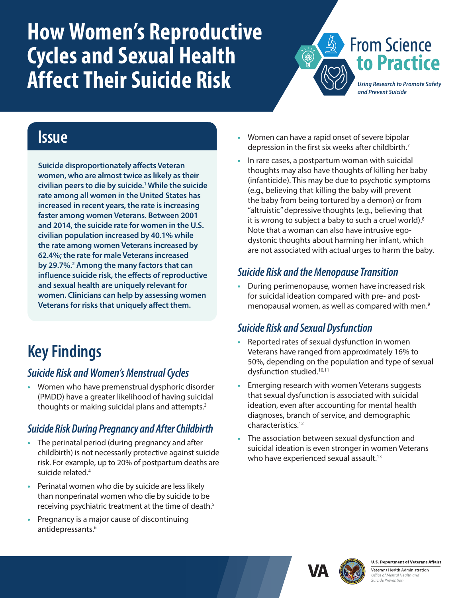# <span id="page-0-0"></span>**How Women's Reproductive Cycles and Sexual Health Affect Their Suicide Risk**



### **Issue**

**Suicide disproportionately affects Veteran women, who are almost twice as likely as their civilian peers to die by suicide.[1](#page-1-0) While the suicide rate among all women in the United States has increased in recent years, the rate is increasing faster among women Veterans. Between 2001 and 2014, the suicide rate for women in the U.S. civilian population increased by 40.1% while the rate among women Veterans increased by 62.4%; the rate for male Veterans increased by 29.7%.[2](#page-1-0) Among the many factors that can influence suicide risk, the effects of reproductive and sexual health are uniquely relevant for women. Clinicians can help by assessing women Veterans for risks that uniquely affect them.**

## **Key Findings**

#### *Suicide Risk and Women's Menstrual Cycles*

**•** Women who have premenstrual dysphoric disorder (PMDD) have a greater likelihood of having suicidal thoughts or making suicidal plans and attempts.<sup>[3](#page-1-0)</sup>

#### *Suicide Risk During Pregnancy and After Childbirth*

- **•** The perinatal period (during pregnancy and after childbirth) is not necessarily protective against suicide risk. For example, up to 20% of postpartum deaths are suicide related[.4](#page-1-0)
- **•** Perinatal women who die by suicide are less likely than nonperinatal women who die by suicide to be receiving psychiatric treatment at the time of death.<sup>5</sup>
- **•** Pregnancy is a major cause of discontinuing antidepressants.<sup>[6](#page-1-0)</sup>
- **•** Women can have a rapid onset of severe bipolar depression in the first six weeks after childbirth.<sup>7</sup>
- **•** In rare cases, a postpartum woman with suicidal thoughts may also have thoughts of killing her baby (infanticide). This may be due to psychotic symptoms (e.g., believing that killing the baby will prevent the baby from being tortured by a demon) or from "altruistic" depressive thoughts (e.g., believing that it is wrong to subject a baby to such a cruel world).<sup>[8](#page-1-0)</sup> Note that a woman can also have intrusive egodystonic thoughts about harming her infant, which are not associated with actual urges to harm the baby.

#### *Suicide Risk and the Menopause Transition*

**•** During perimenopause, women have increased risk for suicidal ideation compared with pre- and post-menopausal women, as well as compared with men.<sup>[9](#page-1-0)</sup>

#### *Suicide Risk and Sexual Dysfunction*

- **•** Reported rates of sexual dysfunction in women Veterans have ranged from approximately 16% to 50%, depending on the population and type of sexual dysfunction studied[.10,11](#page-1-0)
- **•** Emerging research with women Veterans suggests that sexual dysfunction is associated with suicidal ideation, even after accounting for mental health diagnoses, branch of service, and demographic characteristics[.12](#page-1-0)
- **•** The association between sexual dysfunction and suicidal ideation is even stronger in women Veterans who have experienced sexual assault.<sup>[13](#page-1-0)</sup>





**U.S. Department of Veterans Affairs** Veterans Health Administration Office of Mental Health and